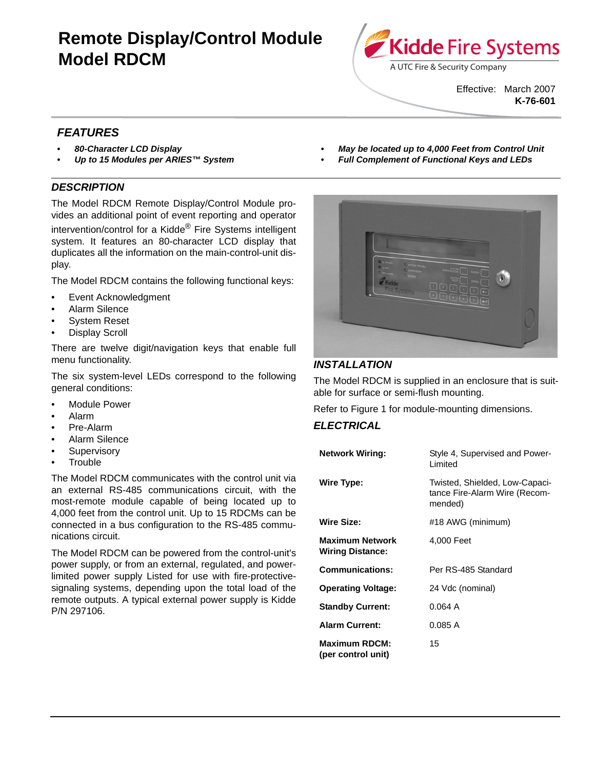# **Remote Display/Control Module Model RDCM**



Effective: March 2007 **K-76-601**

# *FEATURES*

- *80-Character LCD Display*
- *Up to 15 Modules per ARIES™ System*

## *DESCRIPTION*

The Model RDCM Remote Display/Control Module provides an additional point of event reporting and operator intervention/control for a Kidde<sup>®</sup> Fire Systems intelligent system. It features an 80-character LCD display that duplicates all the information on the main-control-unit dis-

The Model RDCM contains the following functional keys:

- Event Acknowledgment
- Alarm Silence

play.

- System Reset
- Display Scroll

There are twelve digit/navigation keys that enable full menu functionality.

The six system-level LEDs correspond to the following general conditions:

- Module Power
- Alarm
- Pre-Alarm
- Alarm Silence
- **Supervisory**
- **Trouble**

The Model RDCM communicates with the control unit via an external RS-485 communications circuit, with the most-remote module capable of being located up to 4,000 feet from the control unit. Up to 15 RDCMs can be connected in a bus configuration to the RS-485 communications circuit.

The Model RDCM can be powered from the control-unit's power supply, or from an external, regulated, and powerlimited power supply Listed for use with fire-protectivesignaling systems, depending upon the total load of the remote outputs. A typical external power supply is Kidde P/N 297106.

- *May be located up to 4,000 Feet from Control Unit*
	- *Full Complement of Functional Keys and LEDs*



# *INSTALLATION*

The Model RDCM is supplied in an enclosure that is suitable for surface or semi-flush mounting.

Refer to Figure 1 for module-mounting dimensions.

### *ELECTRICAL*

| <b>Network Wiring:</b>                            | Style 4, Supervised and Power-<br><b>Limited</b>                           |
|---------------------------------------------------|----------------------------------------------------------------------------|
| Wire Type:                                        | Twisted, Shielded, Low-Capaci-<br>tance Fire-Alarm Wire (Recom-<br>mended) |
| <b>Wire Size:</b>                                 | #18 AWG (minimum)                                                          |
| <b>Maximum Network</b><br><b>Wiring Distance:</b> | 4.000 Feet                                                                 |
| Communications:                                   | Per RS-485 Standard                                                        |
| <b>Operating Voltage:</b>                         | 24 Vdc (nominal)                                                           |
| <b>Standby Current:</b>                           | 0.064A                                                                     |
| <b>Alarm Current:</b>                             | 0.085A                                                                     |
| <b>Maximum RDCM:</b><br>(per control unit)        | 15                                                                         |